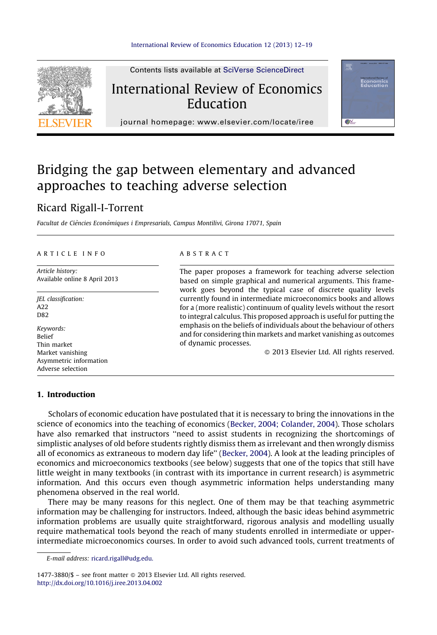

Contents lists available at SciVerse ScienceDirect

## International Review of Economics Education



journal homepage: www.elsevier.com/locate/iree

# Bridging the gap between elementary and advanced approaches to teaching adverse selection

### Ricard Rigall-I-Torrent

Facultat de Ciències Econòmiques i Empresarials, Campus Montilivi, Girona 17071, Spain

#### A R T I C L E I N F O

Article history: Available online 8 April 2013

JEL classification: A22 D82

Keywords: Belief Thin market Market vanishing Asymmetric information Adverse selection

#### A B S T R A C T

The paper proposes a framework for teaching adverse selection based on simple graphical and numerical arguments. This framework goes beyond the typical case of discrete quality levels currently found in intermediate microeconomics books and allows for a (more realistic) continuum of quality levels without the resort to integral calculus. This proposed approach is useful for putting the emphasis on the beliefs of individuals about the behaviour of others and for considering thin markets and market vanishing as outcomes of dynamic processes.

- 2013 Elsevier Ltd. All rights reserved.

#### 1. Introduction

Scholars of economic education have postulated that it is necessary to bring the innovations in the science of economics into the teaching of economics (Becker, 2004; [Colander,](#page--1-0) 2004). Those scholars have also remarked that instructors ''need to assist students in recognizing the shortcomings of simplistic analyses of old before students rightly dismiss them as irrelevant and then wrongly dismiss all of economics as extraneous to modern day life'' ([Becker,](#page--1-0) 2004). A look at the leading principles of economics and microeconomics textbooks (see below) suggests that one of the topics that still have little weight in many textbooks (in contrast with its importance in current research) is asymmetric information. And this occurs even though asymmetric information helps understanding many phenomena observed in the real world.

There may be many reasons for this neglect. One of them may be that teaching asymmetric information may be challenging for instructors. Indeed, although the basic ideas behind asymmetric information problems are usually quite straightforward, rigorous analysis and modelling usually require mathematical tools beyond the reach of many students enrolled in intermediate or upperintermediate microeconomics courses. In order to avoid such advanced tools, current treatments of

E-mail address: [ricard.rigall@udg.edu.](mailto:ricard.rigall@udg.edu)

1477-3880/\$ – see front matter © 2013 Elsevier Ltd. All rights reserved. <http://dx.doi.org/10.1016/j.iree.2013.04.002>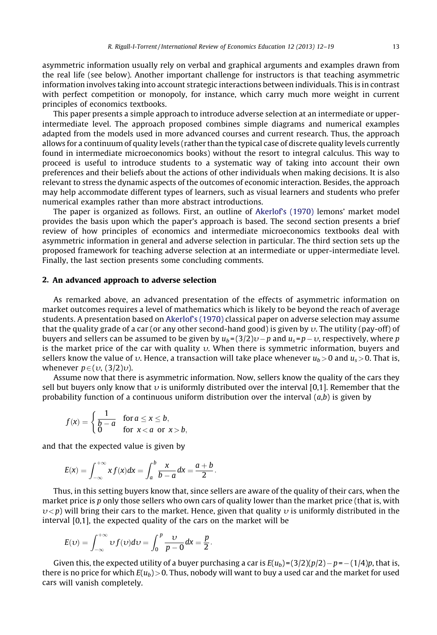asymmetric information usually rely on verbal and graphical arguments and examples drawn from the real life (see below). Another important challenge for instructors is that teaching asymmetric information involves taking into account strategic interactions between individuals. This is in contrast with perfect competition or monopoly, for instance, which carry much more weight in current principles of economics textbooks.

This paper presents a simple approach to introduce adverse selection at an intermediate or upperintermediate level. The approach proposed combines simple diagrams and numerical examples adapted from the models used in more advanced courses and current research. Thus, the approach allows for a continuum of quality levels (rather than the typical case of discrete quality levels currently found in intermediate microeconomics books) without the resort to integral calculus. This way to proceed is useful to introduce students to a systematic way of taking into account their own preferences and their beliefs about the actions of other individuals when making decisions. It is also relevant to stress the dynamic aspects of the outcomes of economic interaction. Besides, the approach may help accommodate different types of learners, such as visual learners and students who prefer numerical examples rather than more abstract introductions.

The paper is organized as follows. First, an outline of [Akerlof's](#page--1-0) (1970) lemons' market model provides the basis upon which the paper's approach is based. The second section presents a brief review of how principles of economics and intermediate microeconomics textbooks deal with asymmetric information in general and adverse selection in particular. The third section sets up the proposed framework for teaching adverse selection at an intermediate or upper-intermediate level. Finally, the last section presents some concluding comments.

#### 2. An advanced approach to adverse selection

As remarked above, an advanced presentation of the effects of asymmetric information on market outcomes requires a level of mathematics which is likely to be beyond the reach of average students. A presentation based on [Akerlof's](#page--1-0) (1970) classical paper on adverse selection may assume that the quality grade of a car (or any other second-hand good) is given by  $\upsilon$ . The utility (pay-off) of buyers and sellers can be assumed to be given by  $u_b = (3/2)\nu - p$  and  $u_s = p - \nu$ , respectively, where p is the market price of the car with quality  $v$ . When there is symmetric information, buyers and sellers know the value of v. Hence, a transaction will take place whenever  $u_b>0$  and  $u_s>0$ . That is, whenever  $p \in (v, (3/2)v)$ .

Assume now that there is asymmetric information. Now, sellers know the quality of the cars they sell but buyers only know that  $v$  is uniformly distributed over the interval [0,1]. Remember that the probability function of a continuous uniform distribution over the interval  $(a,b)$  is given by

$$
f(x) = \begin{cases} \frac{1}{b-a} & \text{for } a \le x \le b, \\ 0 & \text{for } x < a \text{ or } x > b, \end{cases}
$$

and that the expected value is given by

$$
E(x) = \int_{-\infty}^{+\infty} x f(x) dx = \int_{a}^{b} \frac{x}{b-a} dx = \frac{a+b}{2}.
$$

Thus, in this setting buyers know that, since sellers are aware of the quality of their cars, when the market price is p only those sellers who own cars of quality lower than the market price (that is, with  $v < p$ ) will bring their cars to the market. Hence, given that quality v is uniformly distributed in the interval [0,1], the expected quality of the cars on the market will be

$$
E(v) = \int_{-\infty}^{+\infty} v f(v) dv = \int_{0}^{p} \frac{v}{p-0} dx = \frac{p}{2}.
$$

Given this, the expected utility of a buyer purchasing a car is  $E(u_b) = (3/2)(p/2) - p = -(1/4)p$ , that is, there is no price for which  $E(u_b) > 0$ . Thus, nobody will want to buy a used car and the market for used cars will vanish completely.